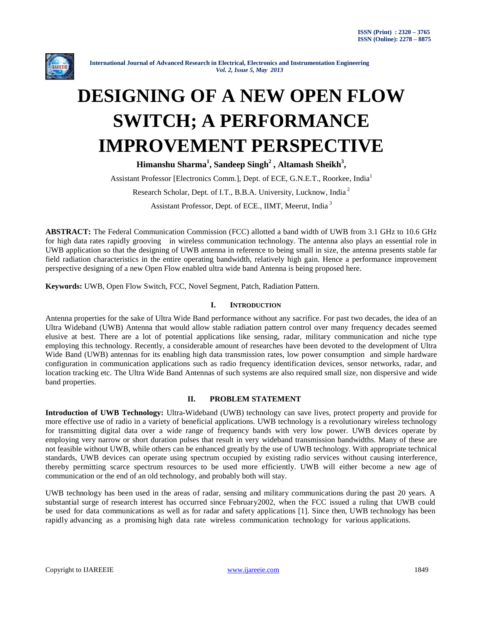

# **DESIGNING OF A NEW OPEN FLOW SWITCH; A PERFORMANCE IMPROVEMENT PERSPECTIVE**

**Himanshu Sharma<sup>1</sup> , Sandeep Singh<sup>2</sup> , Altamash Sheikh<sup>3</sup> ,**

Assistant Professor [Electronics Comm.], Dept. of ECE, G.N.E.T., Roorkee, India<sup>1</sup>

Research Scholar, Dept. of I.T., B.B.A. University, Lucknow, India<sup>2</sup>

Assistant Professor, Dept. of ECE., IIMT, Meerut, India<sup>3</sup>

**ABSTRACT:** The Federal Communication Commission (FCC) allotted a band width of UWB from 3.1 GHz to 10.6 GHz for high data rates rapidly grooving in wireless communication technology. The antenna also plays an essential role in UWB application so that the designing of UWB antenna in reference to being small in size, the antenna presents stable far field radiation characteristics in the entire operating bandwidth, relatively high gain. Hence a performance improvement perspective designing of a new Open Flow enabled ultra wide band Antenna is being proposed here.

**Keywords:** UWB, Open Flow Switch, FCC, Novel Segment, Patch, Radiation Pattern.

## **I. INTRODUCTION**

Antenna properties for the sake of Ultra Wide Band performance without any sacrifice. For past two decades, the idea of an Ultra Wideband (UWB) Antenna that would allow stable radiation pattern control over many frequency decades seemed elusive at best. There are a lot of potential applications like sensing, radar, military communication and niche type employing this technology. Recently, a considerable amount of researches have been devoted to the development of Ultra Wide Band (UWB) antennas for its enabling high data transmission rates, low power consumption and simple hardware configuration in communication applications such as radio frequency identification devices, sensor networks, radar, and location tracking etc. The Ultra Wide Band Antennas of such systems are also required small size, non dispersive and wide band properties.

### **II. PROBLEM STATEMENT**

**Introduction of UWB Technology:** Ultra-Wideband (UWB) technology can save lives, protect property and provide for more effective use of radio in a variety of beneficial applications. UWB technology is a revolutionary wireless technology for transmitting digital data over a wide range of frequency bands with very low power. UWB devices operate by employing very narrow or short duration pulses that result in very wideband transmission bandwidths. Many of these are not feasible without UWB, while others can be enhanced greatly by the use of UWB technology. With appropriate technical standards, UWB devices can operate using spectrum occupied by existing radio services without causing interference, thereby permitting scarce spectrum resources to be used more efficiently. UWB will either become a new age of communication or the end of an old technology, and probably both will stay.

UWB technology has been used in the areas of radar, sensing and military communications during the past 20 years. A substantial surge of research interest has occurred since February2002, when the FCC issued a ruling that UWB could be used for data communications as well as for radar and safety applications [1]. Since then, UWB technology has been rapidly advancing as a promising high data rate wireless communication technology for various applications.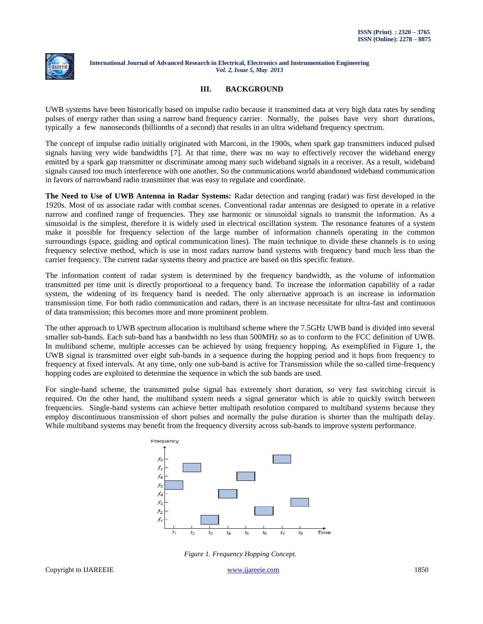

# **III. BACKGROUND**

UWB systems have been historically based on impulse radio because it transmitted data at very high data rates by sending pulses of energy rather than using a narrow band frequency carrier. Normally, the pulses have very short durations, typically a few nanoseconds (billionths of a second) that results in an ultra wideband frequency spectrum.

The concept of impulse radio initially originated with Marconi, in the 1900s, when spark gap transmitters induced pulsed signals having very wide bandwidths [7]. At that time, there was no way to effectively recover the wideband energy emitted by a spark gap transmitter or discriminate among many such wideband signals in a receiver. As a result, wideband signals caused too much interference with one another. So the communications world abandoned wideband communication in favors of narrowband radio transmitter that was easy to regulate and coordinate.

**The Need to Use of UWB Antenna in Radar Systems:** Radar detection and ranging (radar) was first developed in the 1920s. Most of us associate radar with combat scenes. Conventional radar antennas are designed to operate in a relative narrow and confined range of frequencies. They use harmonic or sinusoidal signals to transmit the information. As a sinusoidal is the simplest, therefore it is widely used in electrical oscillation system. The resonance features of a system make it possible for frequency selection of the large number of information channels operating in the common surroundings (space, guiding and optical communication lines). The main technique to divide these channels is to using frequency selective method, which is use in most radars narrow band systems with frequency band much less than the carrier frequency. The current radar systems theory and practice are based on this specific feature.

The information content of radar system is determined by the frequency bandwidth, as the volume of information transmitted per time unit is directly proportional to a frequency band. To increase the information capability of a radar system, the widening of its frequency band is needed. The only alternative approach is an increase in information transmission time. For both radio communication and radars, there is an increase necessitate for ultra-fast and continuous of data transmission; this becomes more and more prominent problem.

The other approach to UWB spectrum allocation is multiband scheme where the 7.5GHz UWB band is divided into several smaller sub-bands. Each sub-band has a bandwidth no less than 500MHz so as to conform to the FCC definition of UWB. In multiband scheme, multiple accesses can be achieved by using frequency hopping. As exemplified in Figure 1, the UWB signal is transmitted over eight sub-bands in a sequence during the hopping period and it hops from frequency to frequency at fixed intervals. At any time, only one sub-band is active for Transmission while the so-called time-frequency hopping codes are exploited to determine the sequence in which the sub bands are used.

For single-band scheme, the transmitted pulse signal has extremely short duration, so very fast switching circuit is required. On the other hand, the multiband system needs a signal generator which is able to quickly switch between frequencies. Single-band systems can achieve better multipath resolution compared to multiband systems because they employ discontinuous transmission of short pulses and normally the pulse duration is shorter than the multipath delay. While multiband systems may benefit from the frequency diversity across sub-bands to improve system performance.



*Figure 1. Frequency Hopping Concept.*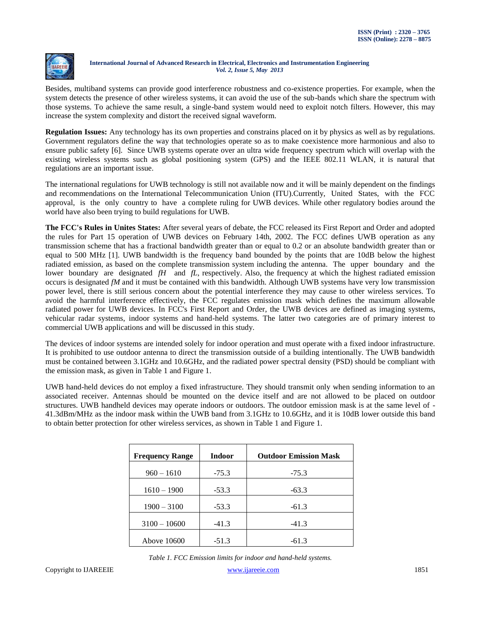

Besides, multiband systems can provide good interference robustness and co-existence properties. For example, when the system detects the presence of other wireless systems, it can avoid the use of the sub-bands which share the spectrum with those systems. To achieve the same result, a single-band system would need to exploit notch filters. However, this may increase the system complexity and distort the received signal waveform.

**Regulation Issues:** Any technology has its own properties and constrains placed on it by physics as well as by regulations. Government regulators define the way that technologies operate so as to make coexistence more harmonious and also to ensure public safety [6]. Since UWB systems operate over an ultra wide frequency spectrum which will overlap with the existing wireless systems such as global positioning system (GPS) and the IEEE 802.11 WLAN, it is natural that regulations are an important issue.

The international regulations for UWB technology is still not available now and it will be mainly dependent on the findings and recommendations on the International Telecommunication Union (ITU).Currently, United States, with the FCC approval, is the only country to have a complete ruling for UWB devices. While other regulatory bodies around the world have also been trying to build regulations for UWB.

**The FCC's Rules in Unites States:** After several years of debate, the FCC released its First Report and Order and adopted the rules for Part 15 operation of UWB devices on February 14th, 2002. The FCC defines UWB operation as any transmission scheme that has a fractional bandwidth greater than or equal to 0.2 or an absolute bandwidth greater than or equal to 500 MHz [1]. UWB bandwidth is the frequency band bounded by the points that are 10dB below the highest radiated emission, as based on the complete transmission system including the antenna. The upper boundary and the lower boundary are designated *fH* and *fL*, respectively. Also, the frequency at which the highest radiated emission occurs is designated *fM* and it must be contained with this bandwidth. Although UWB systems have very low transmission power level, there is still serious concern about the potential interference they may cause to other wireless services. To avoid the harmful interference effectively, the FCC regulates emission mask which defines the maximum allowable radiated power for UWB devices. In FCC's First Report and Order, the UWB devices are defined as imaging systems, vehicular radar systems, indoor systems and hand-held systems. The latter two categories are of primary interest to commercial UWB applications and will be discussed in this study.

The devices of indoor systems are intended solely for indoor operation and must operate with a fixed indoor infrastructure. It is prohibited to use outdoor antenna to direct the transmission outside of a building intentionally. The UWB bandwidth must be contained between 3.1GHz and 10.6GHz, and the radiated power spectral density (PSD) should be compliant with the emission mask, as given in Table 1 and Figure 1.

UWB hand-held devices do not employ a fixed infrastructure. They should transmit only when sending information to an associated receiver. Antennas should be mounted on the device itself and are not allowed to be placed on outdoor structures. UWB handheld devices may operate indoors or outdoors. The outdoor emission mask is at the same level of - 41.3dBm/MHz as the indoor mask within the UWB band from 3.1GHz to 10.6GHz, and it is 10dB lower outside this band to obtain better protection for other wireless services, as shown in Table 1 and Figure 1.

| <b>Frequency Range</b> | <b>Indoor</b> | <b>Outdoor Emission Mask</b> |
|------------------------|---------------|------------------------------|
| $960 - 1610$           | $-75.3$       | $-75.3$                      |
| $1610 - 1900$          | $-53.3$       | $-63.3$                      |
| $1900 - 3100$          | $-53.3$       | $-61.3$                      |
| $3100 - 10600$         | $-41.3$       | $-41.3$                      |
| Above 10600            | $-51.3$       | $-61.3$                      |

*Table 1. FCC Emission limits for indoor and hand-held systems.*